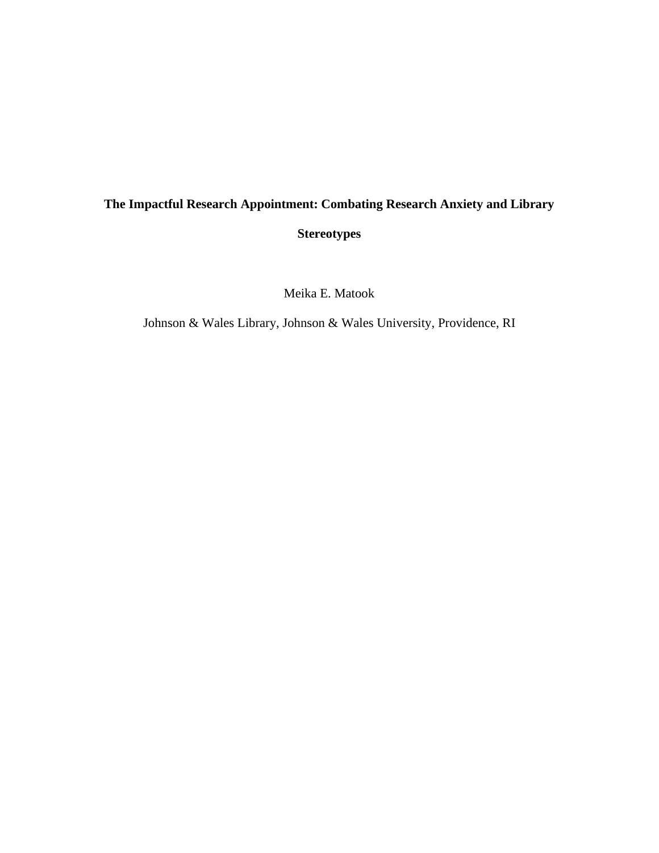# **The Impactful Research Appointment: Combating Research Anxiety and Library Stereotypes**

Meika E. Matook

Johnson & Wales Library, Johnson & Wales University, Providence, RI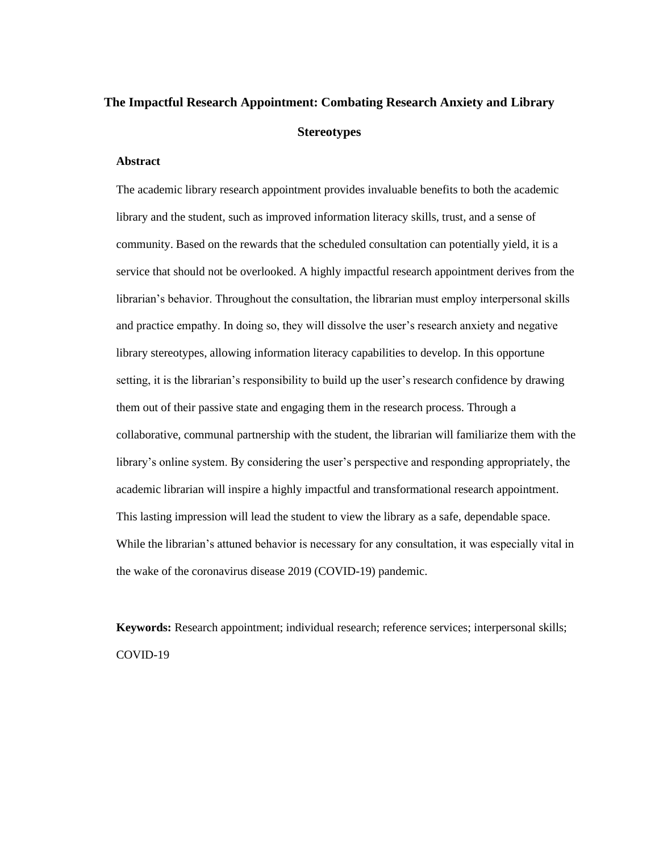# **The Impactful Research Appointment: Combating Research Anxiety and Library Stereotypes**

#### **Abstract**

The academic library research appointment provides invaluable benefits to both the academic library and the student, such as improved information literacy skills, trust, and a sense of community. Based on the rewards that the scheduled consultation can potentially yield, it is a service that should not be overlooked. A highly impactful research appointment derives from the librarian's behavior. Throughout the consultation, the librarian must employ interpersonal skills and practice empathy. In doing so, they will dissolve the user's research anxiety and negative library stereotypes, allowing information literacy capabilities to develop. In this opportune setting, it is the librarian's responsibility to build up the user's research confidence by drawing them out of their passive state and engaging them in the research process. Through a collaborative, communal partnership with the student, the librarian will familiarize them with the library's online system. By considering the user's perspective and responding appropriately, the academic librarian will inspire a highly impactful and transformational research appointment. This lasting impression will lead the student to view the library as a safe, dependable space. While the librarian's attuned behavior is necessary for any consultation, it was especially vital in the wake of the coronavirus disease 2019 (COVID-19) pandemic.

**Keywords:** Research appointment; individual research; reference services; interpersonal skills; COVID-19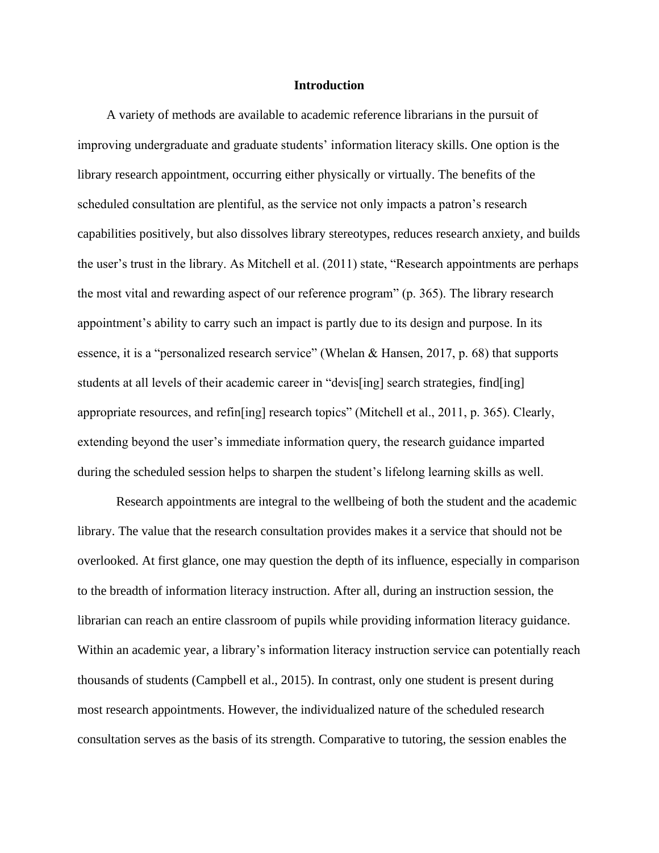#### **Introduction**

A variety of methods are available to academic reference librarians in the pursuit of improving undergraduate and graduate students' information literacy skills. One option is the library research appointment, occurring either physically or virtually. The benefits of the scheduled consultation are plentiful, as the service not only impacts a patron's research capabilities positively, but also dissolves library stereotypes, reduces research anxiety, and builds the user's trust in the library. As Mitchell et al. (2011) state, "Research appointments are perhaps the most vital and rewarding aspect of our reference program" (p. 365). The library research appointment's ability to carry such an impact is partly due to its design and purpose. In its essence, it is a "personalized research service" (Whelan & Hansen, 2017, p. 68) that supports students at all levels of their academic career in "devis[ing] search strategies, find[ing] appropriate resources, and refin[ing] research topics" (Mitchell et al., 2011, p. 365). Clearly, extending beyond the user's immediate information query, the research guidance imparted during the scheduled session helps to sharpen the student's lifelong learning skills as well.

Research appointments are integral to the wellbeing of both the student and the academic library. The value that the research consultation provides makes it a service that should not be overlooked. At first glance, one may question the depth of its influence, especially in comparison to the breadth of information literacy instruction. After all, during an instruction session, the librarian can reach an entire classroom of pupils while providing information literacy guidance. Within an academic year, a library's information literacy instruction service can potentially reach thousands of students (Campbell et al., 2015). In contrast, only one student is present during most research appointments. However, the individualized nature of the scheduled research consultation serves as the basis of its strength. Comparative to tutoring, the session enables the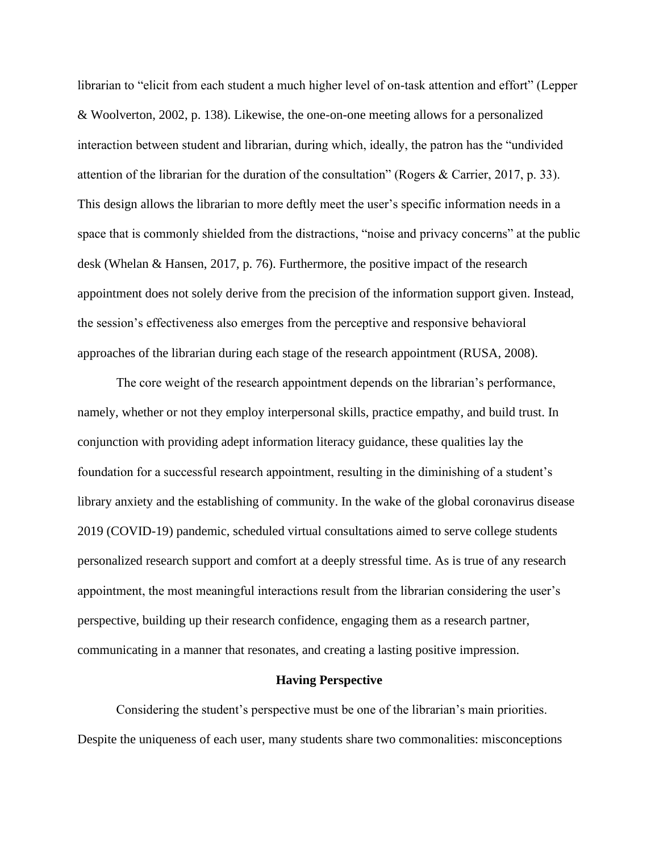librarian to "elicit from each student a much higher level of on-task attention and effort" (Lepper & Woolverton, 2002, p. 138). Likewise, the one-on-one meeting allows for a personalized interaction between student and librarian, during which, ideally, the patron has the "undivided attention of the librarian for the duration of the consultation" (Rogers & Carrier, 2017, p. 33). This design allows the librarian to more deftly meet the user's specific information needs in a space that is commonly shielded from the distractions, "noise and privacy concerns" at the public desk (Whelan & Hansen, 2017, p. 76). Furthermore, the positive impact of the research appointment does not solely derive from the precision of the information support given. Instead, the session's effectiveness also emerges from the perceptive and responsive behavioral approaches of the librarian during each stage of the research appointment (RUSA, 2008).

The core weight of the research appointment depends on the librarian's performance, namely, whether or not they employ interpersonal skills, practice empathy, and build trust. In conjunction with providing adept information literacy guidance, these qualities lay the foundation for a successful research appointment, resulting in the diminishing of a student's library anxiety and the establishing of community. In the wake of the global coronavirus disease 2019 (COVID-19) pandemic, scheduled virtual consultations aimed to serve college students personalized research support and comfort at a deeply stressful time. As is true of any research appointment, the most meaningful interactions result from the librarian considering the user's perspective, building up their research confidence, engaging them as a research partner, communicating in a manner that resonates, and creating a lasting positive impression.

#### **Having Perspective**

Considering the student's perspective must be one of the librarian's main priorities. Despite the uniqueness of each user, many students share two commonalities: misconceptions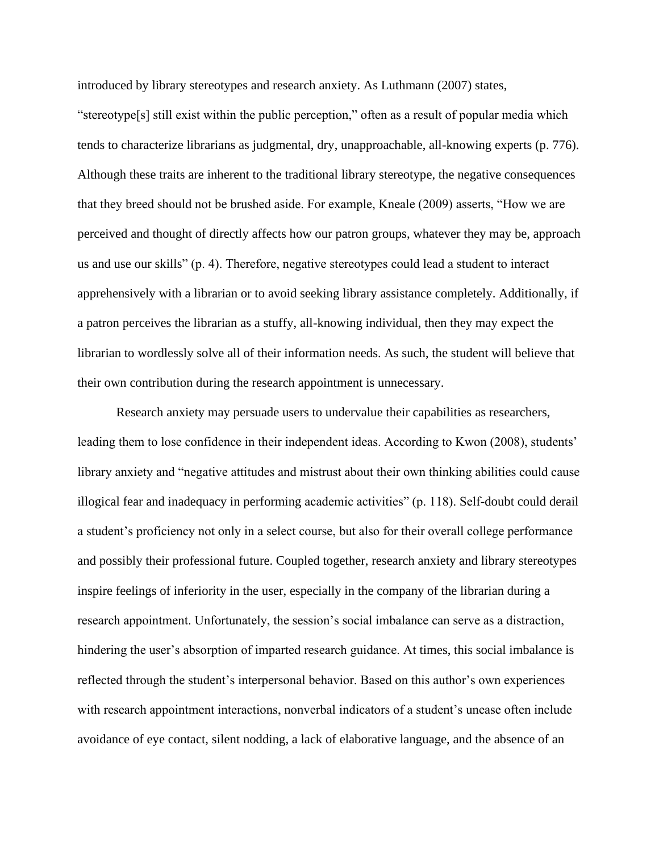introduced by library stereotypes and research anxiety. As Luthmann (2007) states,

"stereotype[s] still exist within the public perception," often as a result of popular media which tends to characterize librarians as judgmental, dry, unapproachable, all-knowing experts (p. 776). Although these traits are inherent to the traditional library stereotype, the negative consequences that they breed should not be brushed aside. For example, Kneale (2009) asserts, "How we are perceived and thought of directly affects how our patron groups, whatever they may be, approach us and use our skills" (p. 4). Therefore, negative stereotypes could lead a student to interact apprehensively with a librarian or to avoid seeking library assistance completely. Additionally, if a patron perceives the librarian as a stuffy, all-knowing individual, then they may expect the librarian to wordlessly solve all of their information needs. As such, the student will believe that their own contribution during the research appointment is unnecessary.

Research anxiety may persuade users to undervalue their capabilities as researchers, leading them to lose confidence in their independent ideas. According to Kwon (2008), students' library anxiety and "negative attitudes and mistrust about their own thinking abilities could cause illogical fear and inadequacy in performing academic activities" (p. 118). Self-doubt could derail a student's proficiency not only in a select course, but also for their overall college performance and possibly their professional future. Coupled together, research anxiety and library stereotypes inspire feelings of inferiority in the user, especially in the company of the librarian during a research appointment. Unfortunately, the session's social imbalance can serve as a distraction, hindering the user's absorption of imparted research guidance. At times, this social imbalance is reflected through the student's interpersonal behavior. Based on this author's own experiences with research appointment interactions, nonverbal indicators of a student's unease often include avoidance of eye contact, silent nodding, a lack of elaborative language, and the absence of an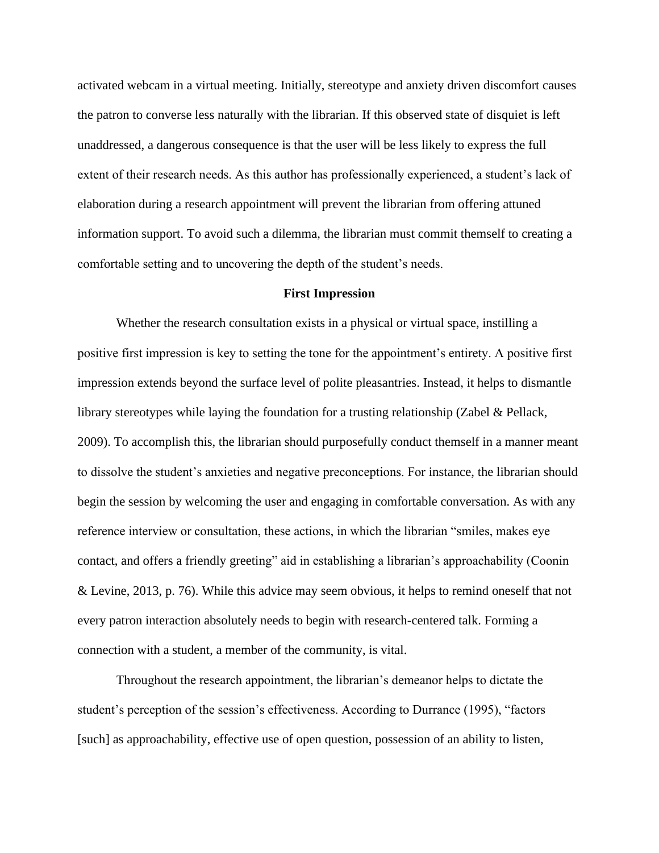activated webcam in a virtual meeting. Initially, stereotype and anxiety driven discomfort causes the patron to converse less naturally with the librarian. If this observed state of disquiet is left unaddressed, a dangerous consequence is that the user will be less likely to express the full extent of their research needs. As this author has professionally experienced, a student's lack of elaboration during a research appointment will prevent the librarian from offering attuned information support. To avoid such a dilemma, the librarian must commit themself to creating a comfortable setting and to uncovering the depth of the student's needs.

#### **First Impression**

Whether the research consultation exists in a physical or virtual space, instilling a positive first impression is key to setting the tone for the appointment's entirety. A positive first impression extends beyond the surface level of polite pleasantries. Instead, it helps to dismantle library stereotypes while laying the foundation for a trusting relationship (Zabel & Pellack, 2009). To accomplish this, the librarian should purposefully conduct themself in a manner meant to dissolve the student's anxieties and negative preconceptions. For instance, the librarian should begin the session by welcoming the user and engaging in comfortable conversation. As with any reference interview or consultation, these actions, in which the librarian "smiles, makes eye contact, and offers a friendly greeting" aid in establishing a librarian's approachability (Coonin & Levine, 2013, p. 76). While this advice may seem obvious, it helps to remind oneself that not every patron interaction absolutely needs to begin with research-centered talk. Forming a connection with a student, a member of the community, is vital.

Throughout the research appointment, the librarian's demeanor helps to dictate the student's perception of the session's effectiveness. According to Durrance (1995), "factors [such] as approachability, effective use of open question, possession of an ability to listen,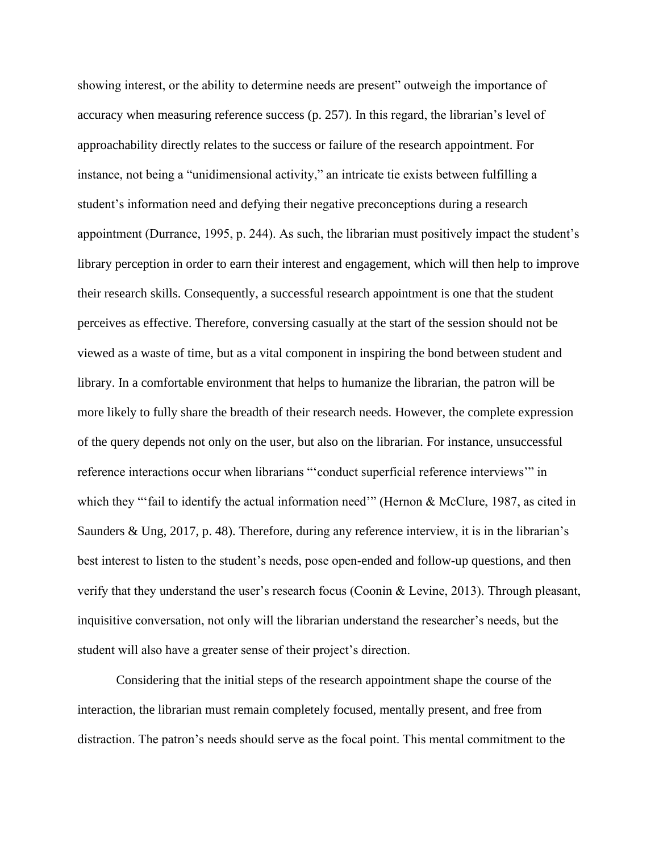showing interest, or the ability to determine needs are present" outweigh the importance of accuracy when measuring reference success (p. 257). In this regard, the librarian's level of approachability directly relates to the success or failure of the research appointment. For instance, not being a "unidimensional activity," an intricate tie exists between fulfilling a student's information need and defying their negative preconceptions during a research appointment (Durrance, 1995, p. 244). As such, the librarian must positively impact the student's library perception in order to earn their interest and engagement, which will then help to improve their research skills. Consequently, a successful research appointment is one that the student perceives as effective. Therefore, conversing casually at the start of the session should not be viewed as a waste of time, but as a vital component in inspiring the bond between student and library. In a comfortable environment that helps to humanize the librarian, the patron will be more likely to fully share the breadth of their research needs. However, the complete expression of the query depends not only on the user, but also on the librarian. For instance, unsuccessful reference interactions occur when librarians "'conduct superficial reference interviews'" in which they "'fail to identify the actual information need'" (Hernon & McClure, 1987, as cited in Saunders & Ung, 2017, p. 48). Therefore, during any reference interview, it is in the librarian's best interest to listen to the student's needs, pose open-ended and follow-up questions, and then verify that they understand the user's research focus (Coonin & Levine, 2013). Through pleasant, inquisitive conversation, not only will the librarian understand the researcher's needs, but the student will also have a greater sense of their project's direction.

Considering that the initial steps of the research appointment shape the course of the interaction, the librarian must remain completely focused, mentally present, and free from distraction. The patron's needs should serve as the focal point. This mental commitment to the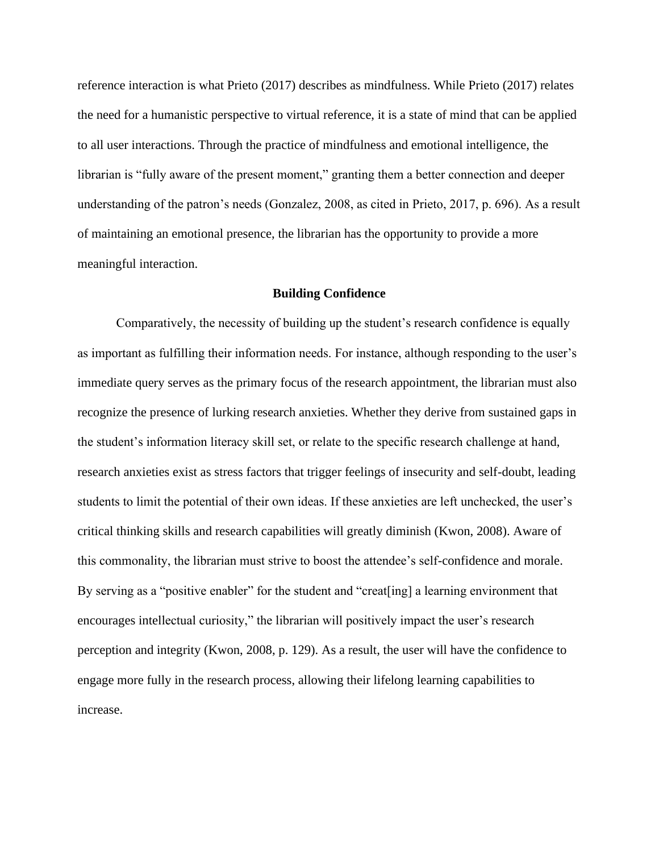reference interaction is what Prieto (2017) describes as mindfulness. While Prieto (2017) relates the need for a humanistic perspective to virtual reference, it is a state of mind that can be applied to all user interactions. Through the practice of mindfulness and emotional intelligence, the librarian is "fully aware of the present moment," granting them a better connection and deeper understanding of the patron's needs (Gonzalez, 2008, as cited in Prieto, 2017, p. 696). As a result of maintaining an emotional presence, the librarian has the opportunity to provide a more meaningful interaction.

#### **Building Confidence**

Comparatively, the necessity of building up the student's research confidence is equally as important as fulfilling their information needs. For instance, although responding to the user's immediate query serves as the primary focus of the research appointment, the librarian must also recognize the presence of lurking research anxieties. Whether they derive from sustained gaps in the student's information literacy skill set, or relate to the specific research challenge at hand, research anxieties exist as stress factors that trigger feelings of insecurity and self-doubt, leading students to limit the potential of their own ideas. If these anxieties are left unchecked, the user's critical thinking skills and research capabilities will greatly diminish (Kwon, 2008). Aware of this commonality, the librarian must strive to boost the attendee's self-confidence and morale. By serving as a "positive enabler" for the student and "creat[ing] a learning environment that encourages intellectual curiosity," the librarian will positively impact the user's research perception and integrity (Kwon, 2008, p. 129). As a result, the user will have the confidence to engage more fully in the research process, allowing their lifelong learning capabilities to increase.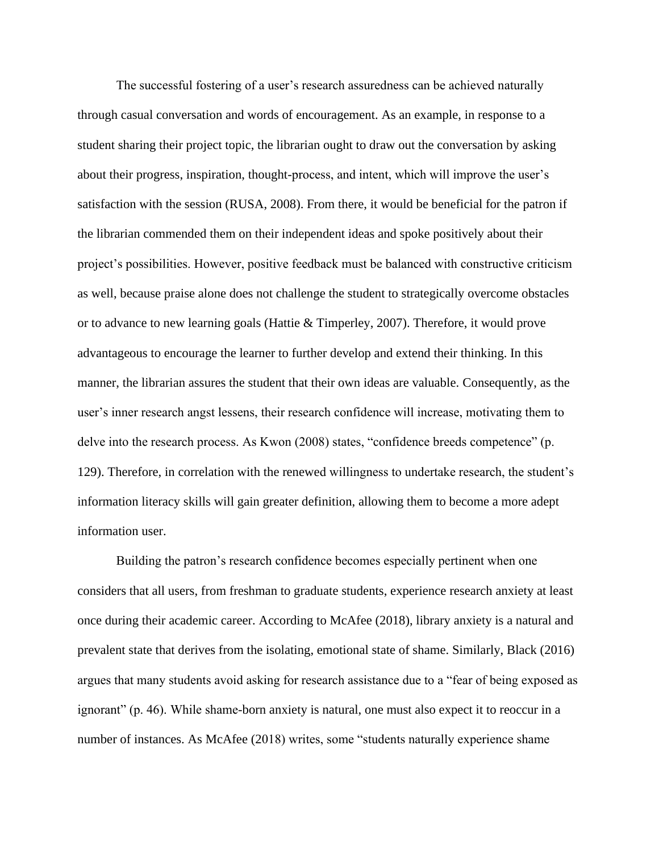The successful fostering of a user's research assuredness can be achieved naturally through casual conversation and words of encouragement. As an example, in response to a student sharing their project topic, the librarian ought to draw out the conversation by asking about their progress, inspiration, thought-process, and intent, which will improve the user's satisfaction with the session (RUSA, 2008). From there, it would be beneficial for the patron if the librarian commended them on their independent ideas and spoke positively about their project's possibilities. However, positive feedback must be balanced with constructive criticism as well, because praise alone does not challenge the student to strategically overcome obstacles or to advance to new learning goals (Hattie & Timperley, 2007). Therefore, it would prove advantageous to encourage the learner to further develop and extend their thinking. In this manner, the librarian assures the student that their own ideas are valuable. Consequently, as the user's inner research angst lessens, their research confidence will increase, motivating them to delve into the research process. As Kwon (2008) states, "confidence breeds competence" (p. 129). Therefore, in correlation with the renewed willingness to undertake research, the student's information literacy skills will gain greater definition, allowing them to become a more adept information user.

Building the patron's research confidence becomes especially pertinent when one considers that all users, from freshman to graduate students, experience research anxiety at least once during their academic career. According to McAfee (2018), library anxiety is a natural and prevalent state that derives from the isolating, emotional state of shame. Similarly, Black (2016) argues that many students avoid asking for research assistance due to a "fear of being exposed as ignorant" (p. 46). While shame-born anxiety is natural, one must also expect it to reoccur in a number of instances. As McAfee (2018) writes, some "students naturally experience shame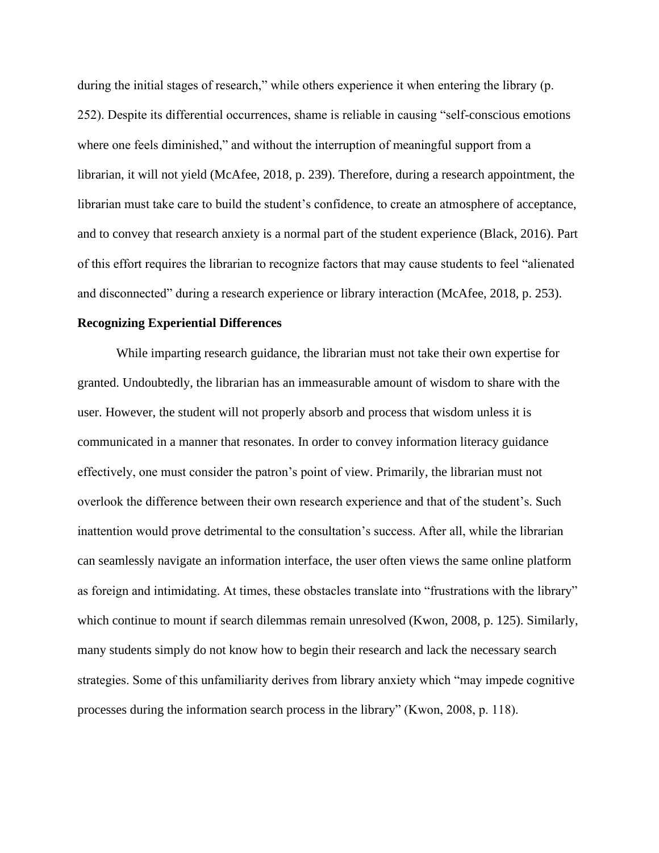during the initial stages of research," while others experience it when entering the library (p. 252). Despite its differential occurrences, shame is reliable in causing "self-conscious emotions where one feels diminished," and without the interruption of meaningful support from a librarian, it will not yield (McAfee, 2018, p. 239). Therefore, during a research appointment, the librarian must take care to build the student's confidence, to create an atmosphere of acceptance, and to convey that research anxiety is a normal part of the student experience (Black, 2016). Part of this effort requires the librarian to recognize factors that may cause students to feel "alienated and disconnected" during a research experience or library interaction (McAfee, 2018, p. 253).

## **Recognizing Experiential Differences**

While imparting research guidance, the librarian must not take their own expertise for granted. Undoubtedly, the librarian has an immeasurable amount of wisdom to share with the user. However, the student will not properly absorb and process that wisdom unless it is communicated in a manner that resonates. In order to convey information literacy guidance effectively, one must consider the patron's point of view. Primarily, the librarian must not overlook the difference between their own research experience and that of the student's. Such inattention would prove detrimental to the consultation's success. After all, while the librarian can seamlessly navigate an information interface, the user often views the same online platform as foreign and intimidating. At times, these obstacles translate into "frustrations with the library" which continue to mount if search dilemmas remain unresolved (Kwon, 2008, p. 125). Similarly, many students simply do not know how to begin their research and lack the necessary search strategies. Some of this unfamiliarity derives from library anxiety which "may impede cognitive processes during the information search process in the library" (Kwon, 2008, p. 118).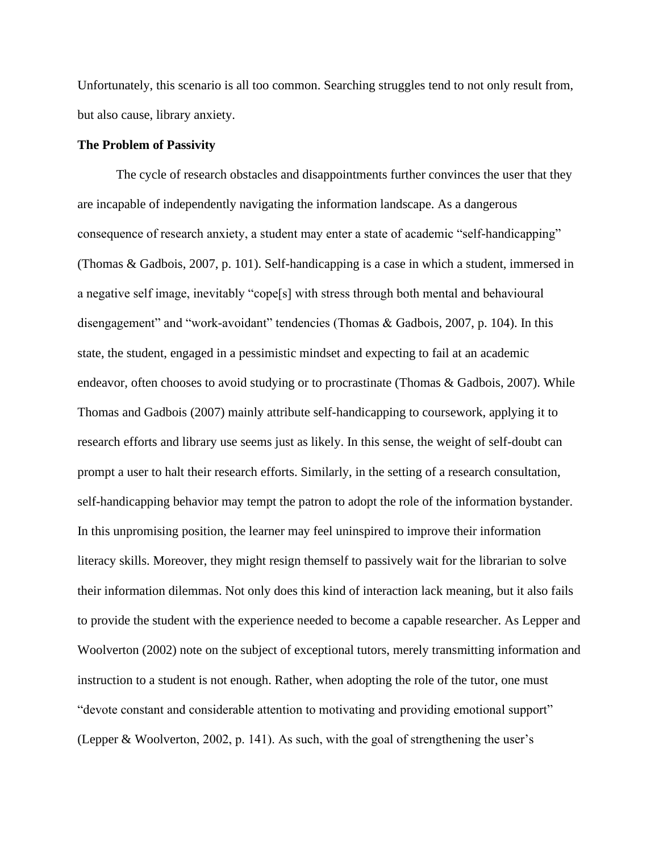Unfortunately, this scenario is all too common. Searching struggles tend to not only result from, but also cause, library anxiety.

### **The Problem of Passivity**

The cycle of research obstacles and disappointments further convinces the user that they are incapable of independently navigating the information landscape. As a dangerous consequence of research anxiety, a student may enter a state of academic "self-handicapping" (Thomas & Gadbois, 2007, p. 101). Self-handicapping is a case in which a student, immersed in a negative self image, inevitably "cope[s] with stress through both mental and behavioural disengagement" and "work-avoidant" tendencies (Thomas & Gadbois, 2007, p. 104). In this state, the student, engaged in a pessimistic mindset and expecting to fail at an academic endeavor, often chooses to avoid studying or to procrastinate (Thomas & Gadbois, 2007). While Thomas and Gadbois (2007) mainly attribute self-handicapping to coursework, applying it to research efforts and library use seems just as likely. In this sense, the weight of self-doubt can prompt a user to halt their research efforts. Similarly, in the setting of a research consultation, self-handicapping behavior may tempt the patron to adopt the role of the information bystander. In this unpromising position, the learner may feel uninspired to improve their information literacy skills. Moreover, they might resign themself to passively wait for the librarian to solve their information dilemmas. Not only does this kind of interaction lack meaning, but it also fails to provide the student with the experience needed to become a capable researcher. As Lepper and Woolverton (2002) note on the subject of exceptional tutors, merely transmitting information and instruction to a student is not enough. Rather, when adopting the role of the tutor, one must "devote constant and considerable attention to motivating and providing emotional support" (Lepper & Woolverton, 2002, p. 141). As such, with the goal of strengthening the user's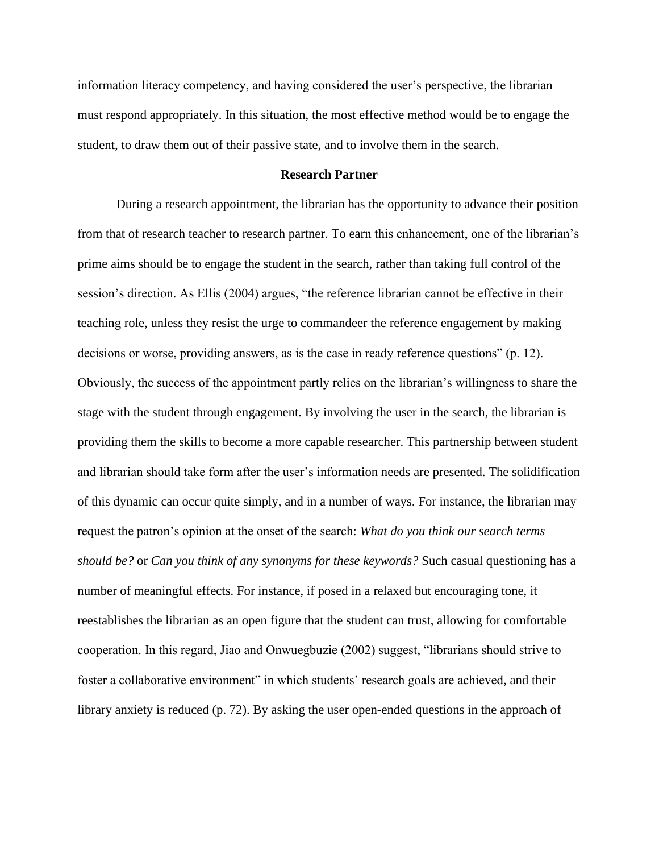information literacy competency, and having considered the user's perspective, the librarian must respond appropriately. In this situation, the most effective method would be to engage the student, to draw them out of their passive state, and to involve them in the search.

## **Research Partner**

During a research appointment, the librarian has the opportunity to advance their position from that of research teacher to research partner. To earn this enhancement, one of the librarian's prime aims should be to engage the student in the search, rather than taking full control of the session's direction. As Ellis (2004) argues, "the reference librarian cannot be effective in their teaching role, unless they resist the urge to commandeer the reference engagement by making decisions or worse, providing answers, as is the case in ready reference questions" (p. 12). Obviously, the success of the appointment partly relies on the librarian's willingness to share the stage with the student through engagement. By involving the user in the search, the librarian is providing them the skills to become a more capable researcher. This partnership between student and librarian should take form after the user's information needs are presented. The solidification of this dynamic can occur quite simply, and in a number of ways. For instance, the librarian may request the patron's opinion at the onset of the search: *What do you think our search terms should be?* or *Can you think of any synonyms for these keywords?* Such casual questioning has a number of meaningful effects. For instance, if posed in a relaxed but encouraging tone, it reestablishes the librarian as an open figure that the student can trust, allowing for comfortable cooperation. In this regard, Jiao and Onwuegbuzie (2002) suggest, "librarians should strive to foster a collaborative environment" in which students' research goals are achieved, and their library anxiety is reduced (p. 72). By asking the user open-ended questions in the approach of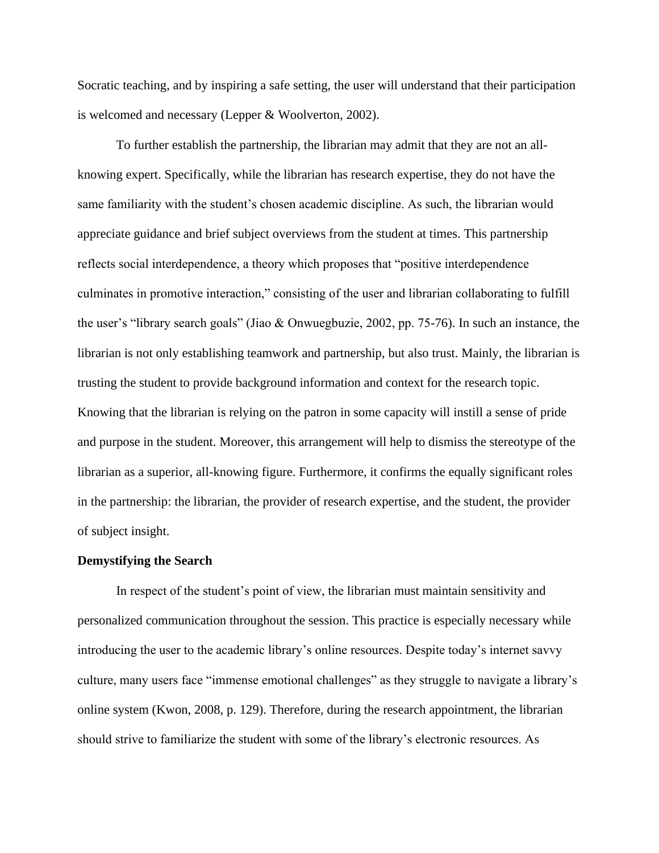Socratic teaching, and by inspiring a safe setting, the user will understand that their participation is welcomed and necessary (Lepper & Woolverton, 2002).

To further establish the partnership, the librarian may admit that they are not an allknowing expert. Specifically, while the librarian has research expertise, they do not have the same familiarity with the student's chosen academic discipline. As such, the librarian would appreciate guidance and brief subject overviews from the student at times. This partnership reflects social interdependence, a theory which proposes that "positive interdependence culminates in promotive interaction," consisting of the user and librarian collaborating to fulfill the user's "library search goals" (Jiao & Onwuegbuzie, 2002, pp. 75-76). In such an instance, the librarian is not only establishing teamwork and partnership, but also trust. Mainly, the librarian is trusting the student to provide background information and context for the research topic. Knowing that the librarian is relying on the patron in some capacity will instill a sense of pride and purpose in the student. Moreover, this arrangement will help to dismiss the stereotype of the librarian as a superior, all-knowing figure. Furthermore, it confirms the equally significant roles in the partnership: the librarian, the provider of research expertise, and the student, the provider of subject insight.

# **Demystifying the Search**

In respect of the student's point of view, the librarian must maintain sensitivity and personalized communication throughout the session. This practice is especially necessary while introducing the user to the academic library's online resources. Despite today's internet savvy culture, many users face "immense emotional challenges" as they struggle to navigate a library's online system (Kwon, 2008, p. 129). Therefore, during the research appointment, the librarian should strive to familiarize the student with some of the library's electronic resources. As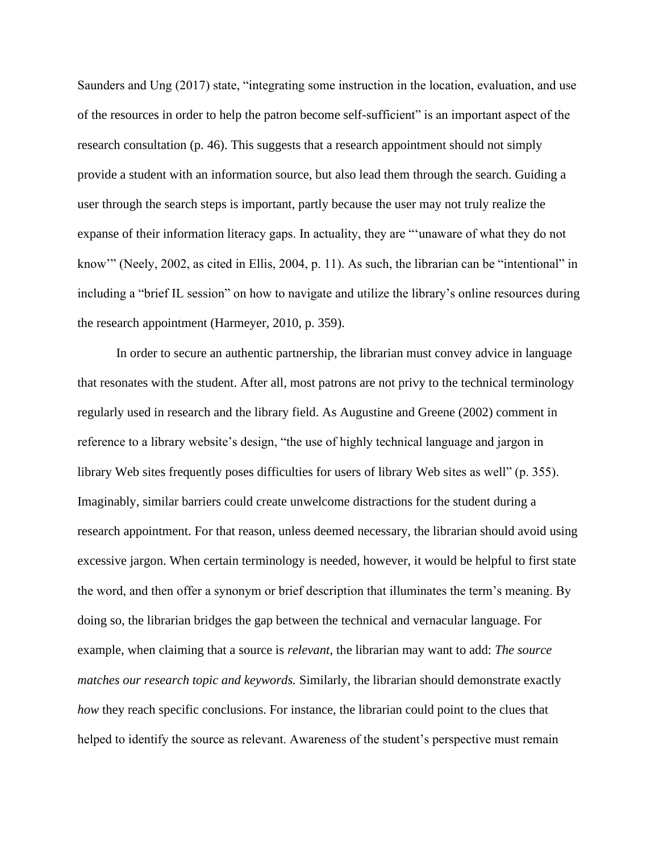Saunders and Ung (2017) state, "integrating some instruction in the location, evaluation, and use of the resources in order to help the patron become self-sufficient" is an important aspect of the research consultation (p. 46). This suggests that a research appointment should not simply provide a student with an information source, but also lead them through the search. Guiding a user through the search steps is important, partly because the user may not truly realize the expanse of their information literacy gaps. In actuality, they are "'unaware of what they do not know'" (Neely, 2002, as cited in Ellis, 2004, p. 11). As such, the librarian can be "intentional" in including a "brief IL session" on how to navigate and utilize the library's online resources during the research appointment (Harmeyer, 2010, p. 359).

In order to secure an authentic partnership, the librarian must convey advice in language that resonates with the student. After all, most patrons are not privy to the technical terminology regularly used in research and the library field. As Augustine and Greene (2002) comment in reference to a library website's design, "the use of highly technical language and jargon in library Web sites frequently poses difficulties for users of library Web sites as well" (p. 355). Imaginably, similar barriers could create unwelcome distractions for the student during a research appointment. For that reason, unless deemed necessary, the librarian should avoid using excessive jargon. When certain terminology is needed, however, it would be helpful to first state the word, and then offer a synonym or brief description that illuminates the term's meaning. By doing so, the librarian bridges the gap between the technical and vernacular language. For example, when claiming that a source is *relevant*, the librarian may want to add: *The source matches our research topic and keywords.* Similarly, the librarian should demonstrate exactly *how* they reach specific conclusions. For instance, the librarian could point to the clues that helped to identify the source as relevant. Awareness of the student's perspective must remain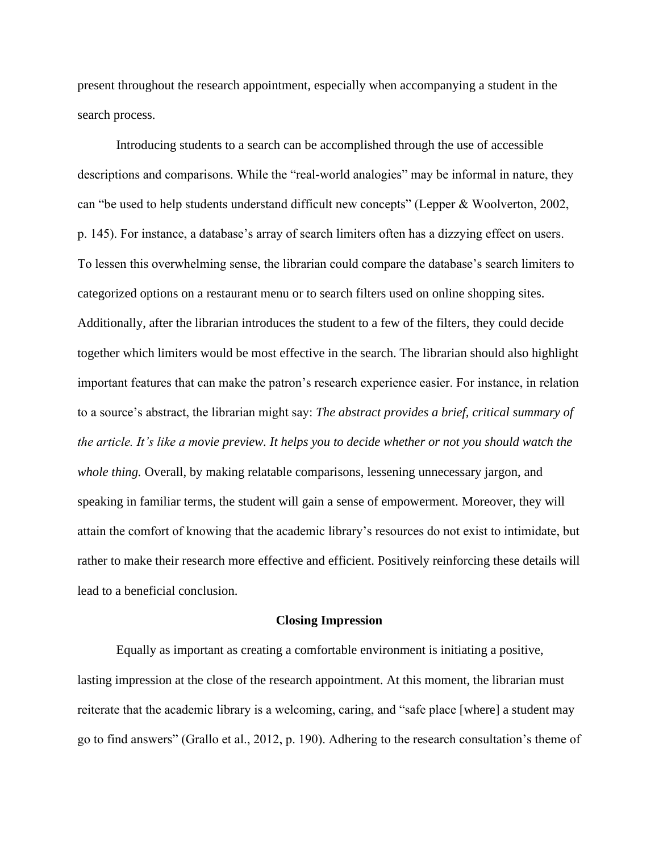present throughout the research appointment, especially when accompanying a student in the search process.

Introducing students to a search can be accomplished through the use of accessible descriptions and comparisons. While the "real-world analogies" may be informal in nature, they can "be used to help students understand difficult new concepts" (Lepper & Woolverton, 2002, p. 145). For instance, a database's array of search limiters often has a dizzying effect on users. To lessen this overwhelming sense, the librarian could compare the database's search limiters to categorized options on a restaurant menu or to search filters used on online shopping sites. Additionally, after the librarian introduces the student to a few of the filters, they could decide together which limiters would be most effective in the search. The librarian should also highlight important features that can make the patron's research experience easier. For instance, in relation to a source's abstract, the librarian might say: *The abstract provides a brief, critical summary of the article. It's like a movie preview. It helps you to decide whether or not you should watch the whole thing.* Overall, by making relatable comparisons, lessening unnecessary jargon, and speaking in familiar terms, the student will gain a sense of empowerment. Moreover, they will attain the comfort of knowing that the academic library's resources do not exist to intimidate, but rather to make their research more effective and efficient. Positively reinforcing these details will lead to a beneficial conclusion.

#### **Closing Impression**

Equally as important as creating a comfortable environment is initiating a positive, lasting impression at the close of the research appointment. At this moment, the librarian must reiterate that the academic library is a welcoming, caring, and "safe place [where] a student may go to find answers" (Grallo et al., 2012, p. 190). Adhering to the research consultation's theme of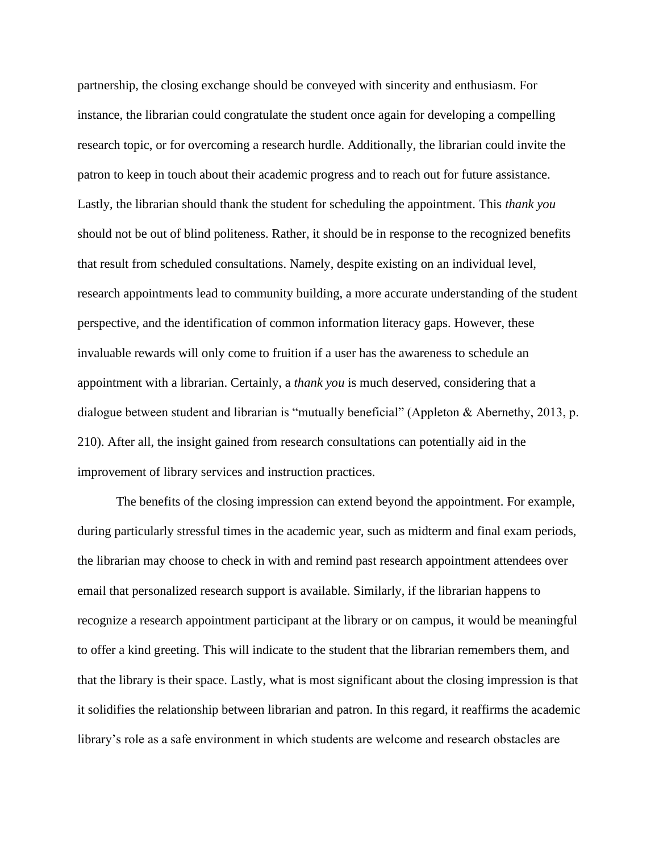partnership, the closing exchange should be conveyed with sincerity and enthusiasm. For instance, the librarian could congratulate the student once again for developing a compelling research topic, or for overcoming a research hurdle. Additionally, the librarian could invite the patron to keep in touch about their academic progress and to reach out for future assistance. Lastly, the librarian should thank the student for scheduling the appointment. This *thank you*  should not be out of blind politeness. Rather, it should be in response to the recognized benefits that result from scheduled consultations. Namely, despite existing on an individual level, research appointments lead to community building, a more accurate understanding of the student perspective, and the identification of common information literacy gaps. However, these invaluable rewards will only come to fruition if a user has the awareness to schedule an appointment with a librarian. Certainly, a *thank you* is much deserved, considering that a dialogue between student and librarian is "mutually beneficial" (Appleton & Abernethy, 2013, p. 210). After all, the insight gained from research consultations can potentially aid in the improvement of library services and instruction practices.

The benefits of the closing impression can extend beyond the appointment. For example, during particularly stressful times in the academic year, such as midterm and final exam periods, the librarian may choose to check in with and remind past research appointment attendees over email that personalized research support is available. Similarly, if the librarian happens to recognize a research appointment participant at the library or on campus, it would be meaningful to offer a kind greeting. This will indicate to the student that the librarian remembers them, and that the library is their space. Lastly, what is most significant about the closing impression is that it solidifies the relationship between librarian and patron. In this regard, it reaffirms the academic library's role as a safe environment in which students are welcome and research obstacles are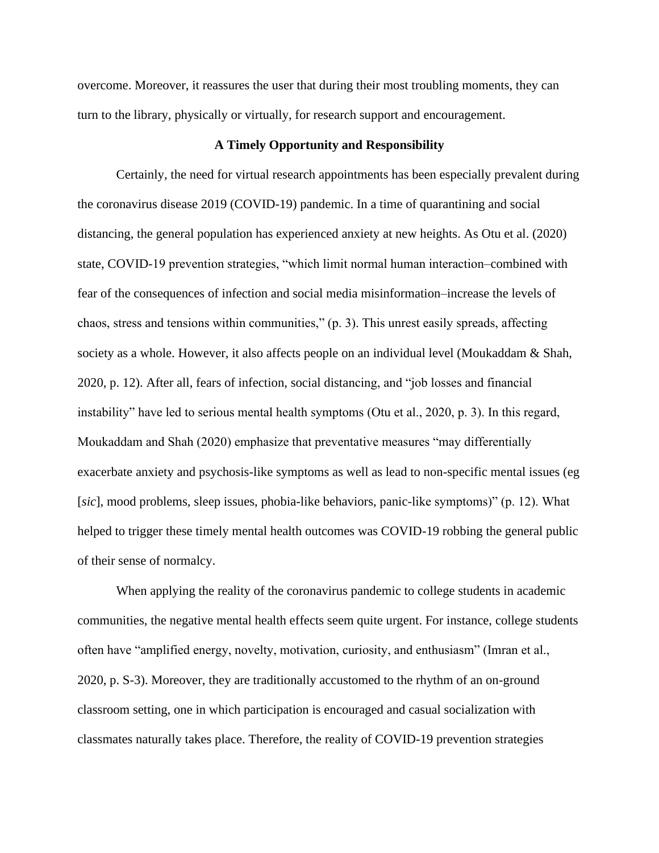overcome. Moreover, it reassures the user that during their most troubling moments, they can turn to the library, physically or virtually, for research support and encouragement.

### **A Timely Opportunity and Responsibility**

Certainly, the need for virtual research appointments has been especially prevalent during the coronavirus disease 2019 (COVID-19) pandemic. In a time of quarantining and social distancing, the general population has experienced anxiety at new heights. As Otu et al. (2020) state, COVID-19 prevention strategies, "which limit normal human interaction–combined with fear of the consequences of infection and social media misinformation–increase the levels of chaos, stress and tensions within communities," (p. 3). This unrest easily spreads, affecting society as a whole. However, it also affects people on an individual level (Moukaddam & Shah, 2020, p. 12). After all, fears of infection, social distancing, and "job losses and financial instability" have led to serious mental health symptoms (Otu et al., 2020, p. 3). In this regard, Moukaddam and Shah (2020) emphasize that preventative measures "may differentially exacerbate anxiety and psychosis-like symptoms as well as lead to non-specific mental issues (eg [*sic*], mood problems, sleep issues, phobia-like behaviors, panic-like symptoms)" (p. 12). What helped to trigger these timely mental health outcomes was COVID-19 robbing the general public of their sense of normalcy.

When applying the reality of the coronavirus pandemic to college students in academic communities, the negative mental health effects seem quite urgent. For instance, college students often have "amplified energy, novelty, motivation, curiosity, and enthusiasm" (Imran et al., 2020, p. S-3). Moreover, they are traditionally accustomed to the rhythm of an on-ground classroom setting, one in which participation is encouraged and casual socialization with classmates naturally takes place. Therefore, the reality of COVID-19 prevention strategies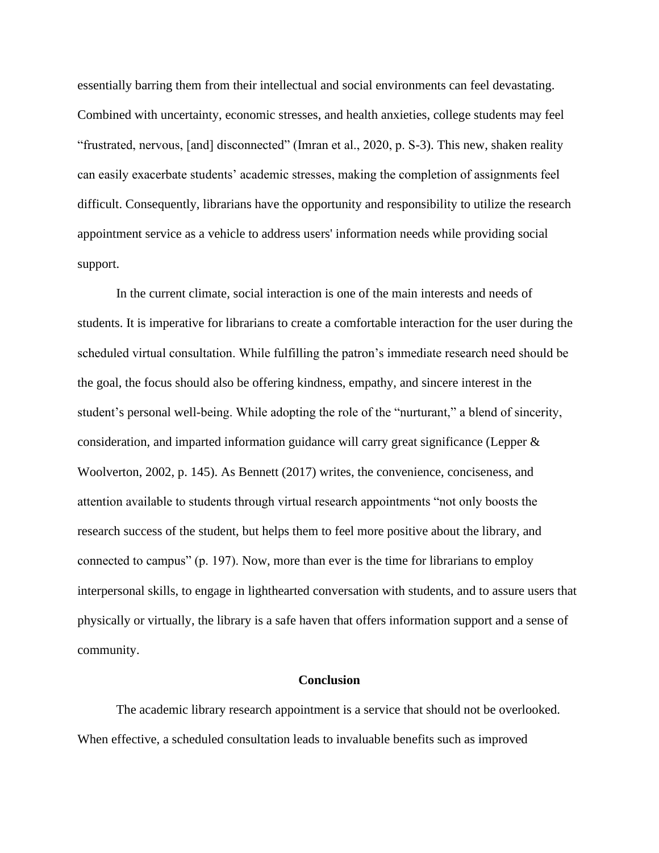essentially barring them from their intellectual and social environments can feel devastating. Combined with uncertainty, economic stresses, and health anxieties, college students may feel "frustrated, nervous, [and] disconnected" (Imran et al., 2020, p. S-3). This new, shaken reality can easily exacerbate students' academic stresses, making the completion of assignments feel difficult. Consequently, librarians have the opportunity and responsibility to utilize the research appointment service as a vehicle to address users' information needs while providing social support.

In the current climate, social interaction is one of the main interests and needs of students. It is imperative for librarians to create a comfortable interaction for the user during the scheduled virtual consultation. While fulfilling the patron's immediate research need should be the goal, the focus should also be offering kindness, empathy, and sincere interest in the student's personal well-being. While adopting the role of the "nurturant," a blend of sincerity, consideration, and imparted information guidance will carry great significance (Lepper & Woolverton, 2002, p. 145). As Bennett (2017) writes, the convenience, conciseness, and attention available to students through virtual research appointments "not only boosts the research success of the student, but helps them to feel more positive about the library, and connected to campus" (p. 197). Now, more than ever is the time for librarians to employ interpersonal skills, to engage in lighthearted conversation with students, and to assure users that physically or virtually, the library is a safe haven that offers information support and a sense of community.

#### **Conclusion**

The academic library research appointment is a service that should not be overlooked. When effective, a scheduled consultation leads to invaluable benefits such as improved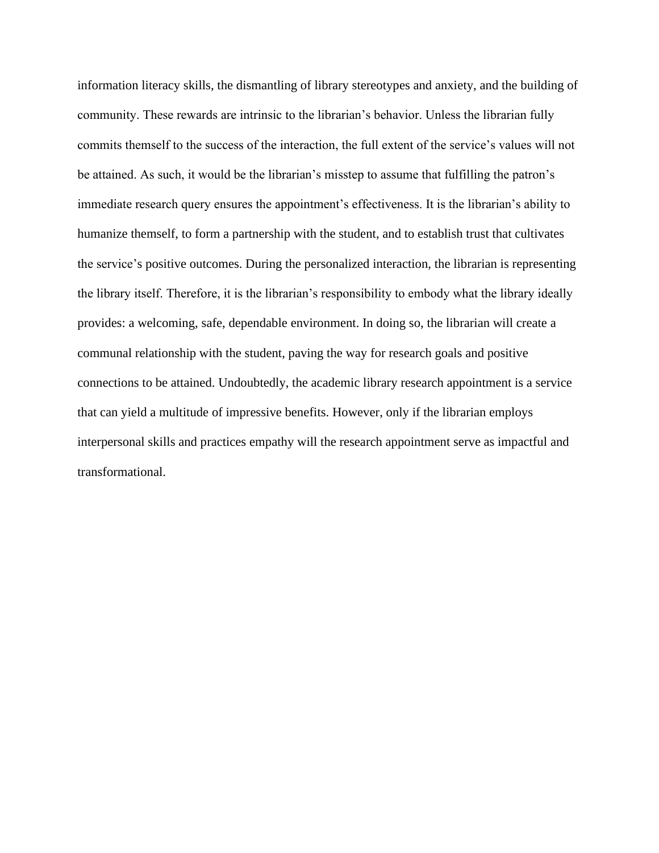information literacy skills, the dismantling of library stereotypes and anxiety, and the building of community. These rewards are intrinsic to the librarian's behavior. Unless the librarian fully commits themself to the success of the interaction, the full extent of the service's values will not be attained. As such, it would be the librarian's misstep to assume that fulfilling the patron's immediate research query ensures the appointment's effectiveness. It is the librarian's ability to humanize themself, to form a partnership with the student, and to establish trust that cultivates the service's positive outcomes. During the personalized interaction, the librarian is representing the library itself. Therefore, it is the librarian's responsibility to embody what the library ideally provides: a welcoming, safe, dependable environment. In doing so, the librarian will create a communal relationship with the student, paving the way for research goals and positive connections to be attained. Undoubtedly, the academic library research appointment is a service that can yield a multitude of impressive benefits. However, only if the librarian employs interpersonal skills and practices empathy will the research appointment serve as impactful and transformational.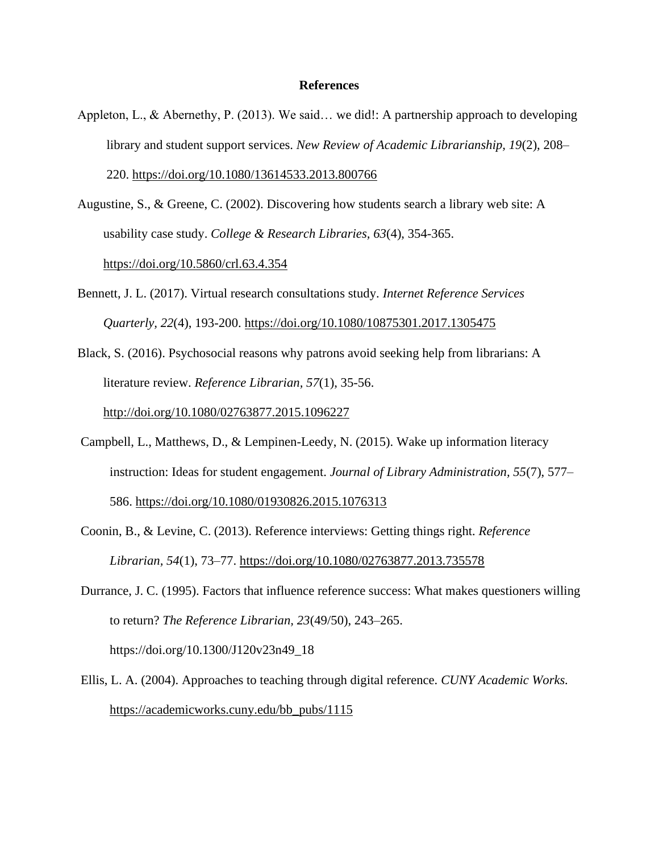#### **References**

- Appleton, L., & Abernethy, P. (2013). We said... we did!: A partnership approach to developing library and student support services. *New Review of Academic Librarianship, 19*(2), 208– 220[.](https://doi.org/10.1080/13614533.2013.800766) <https://doi.org/10.1080/13614533.2013.800766>
- Augustine, S., & Greene, C. (2002). Discovering how students search a library web site: A usability case study. *College & Research Libraries, 63*(4), 354-365[.](https://doi.org/10.5860/crl.63.4.354) <https://doi.org/10.5860/crl.63.4.354>
- Bennett, J. L. (2017). Virtual research consultations study. *Internet Reference Services Quarterly, 22*(4), 193-200.<https://doi.org/10.1080/10875301.2017.1305475>
- Black, S. (2016). Psychosocial reasons why patrons avoid seeking help from librarians: A literature review. *Reference Librarian, 57*(1), 35-56.

<http://doi.org/10.1080/02763877.2015.1096227>

- Campbell, L., Matthews, D., & Lempinen-Leedy, N. (2015). Wake up information literacy instruction: Ideas for student engagement. *Journal of Library Administration, 55*(7), 577– 586[.](https://doi.org/10.1080/01930826.2015.1076313) <https://doi.org/10.1080/01930826.2015.1076313>
- Coonin, B., & Levine, C. (2013). Reference interviews: Getting things right. *Reference Librarian, 54*(1), 73–77[.](https://doi.org/10.1080/02763877.2013.735578) <https://doi.org/10.1080/02763877.2013.735578>
- Durrance, J. C. (1995). Factors that influence reference success: What makes questioners willing to return? *The Reference Librarian, 23*(49/50), 243–265. [https://doi.org/10.1300/J120v23n49\\_18](https://doi.org/10.1300/J120v23n49_18)
- Ellis, L. A. (2004). Approaches to teaching through digital reference. *CUNY Academic Works.* [https://academicworks.cuny.edu/bb\\_pubs/1115](https://academicworks.cuny.edu/bb_pubs/1115)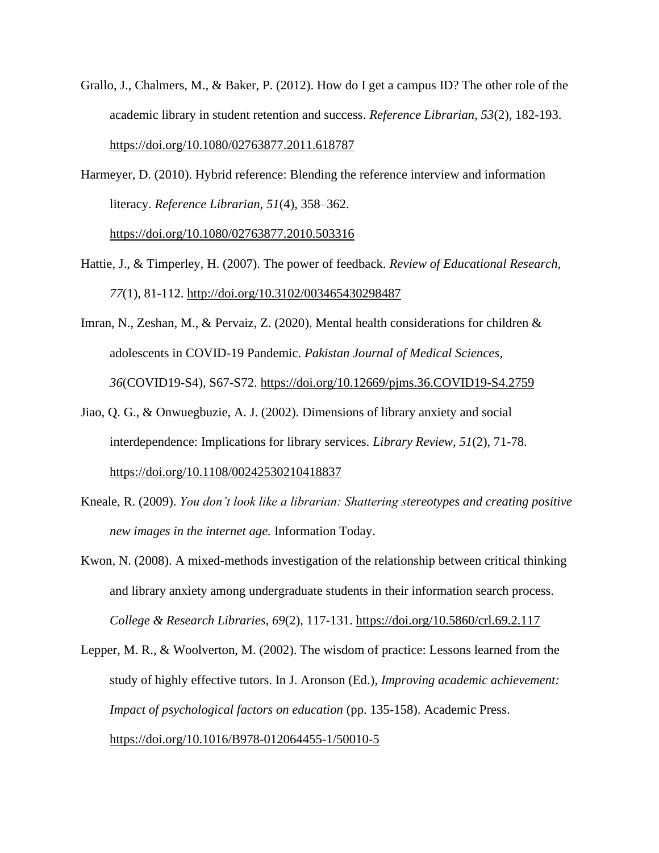- Grallo, J., Chalmers, M., & Baker, P. (2012). How do I get a campus ID? The other role of the academic library in student retention and success. *Reference Librarian, 53*(2), 182-193[.](https://doi.org/10.1080/02763877.2011.618787) <https://doi.org/10.1080/02763877.2011.618787>
- Harmeyer, D. (2010). Hybrid reference: Blending the reference interview and information literacy. *Reference Librarian, 51*(4), 358–362[.](https://doi.org/10.1080/02763877.2010.503316)

<https://doi.org/10.1080/02763877.2010.503316>

- Hattie, J., & Timperley, H. (2007). The power of feedback. *Review of Educational Research, 77*(1), 81-112.<http://doi.org/10.3102/003465430298487>
- Imran, N., Zeshan, M., & Pervaiz, Z. (2020). Mental health considerations for children & adolescents in COVID-19 Pandemic. *Pakistan Journal of Medical Sciences, 36*(COVID19-S4), S67-S72[.](https://doi.org/10.12669/pjms.36.COVID19-S4.2759) <https://doi.org/10.12669/pjms.36.COVID19-S4.2759>
- Jiao, Q. G., & Onwuegbuzie, A. J. (2002). Dimensions of library anxiety and social interdependence: Implications for library services. *Library Review, 51*(2), 71-78[.](https://doi.org/10.1108/00242530210418837) <https://doi.org/10.1108/00242530210418837>
- Kneale, R. (2009). *You don't look like a librarian: Shattering stereotypes and creating positive new images in the internet age.* Information Today.
- Kwon, N. (2008). A mixed-methods investigation of the relationship between critical thinking and library anxiety among undergraduate students in their information search process. *College & Research Libraries, 69*(2), 117-131. <https://doi.org/10.5860/crl.69.2.117>
- Lepper, M. R., & Woolverton, M. (2002). The wisdom of practice: Lessons learned from the study of highly effective tutors. In J. Aronson (Ed.), *Improving academic achievement: Impact of psychological factors on education* (pp. 135-158). Academic Press. <https://doi.org/10.1016/B978-012064455-1/50010-5>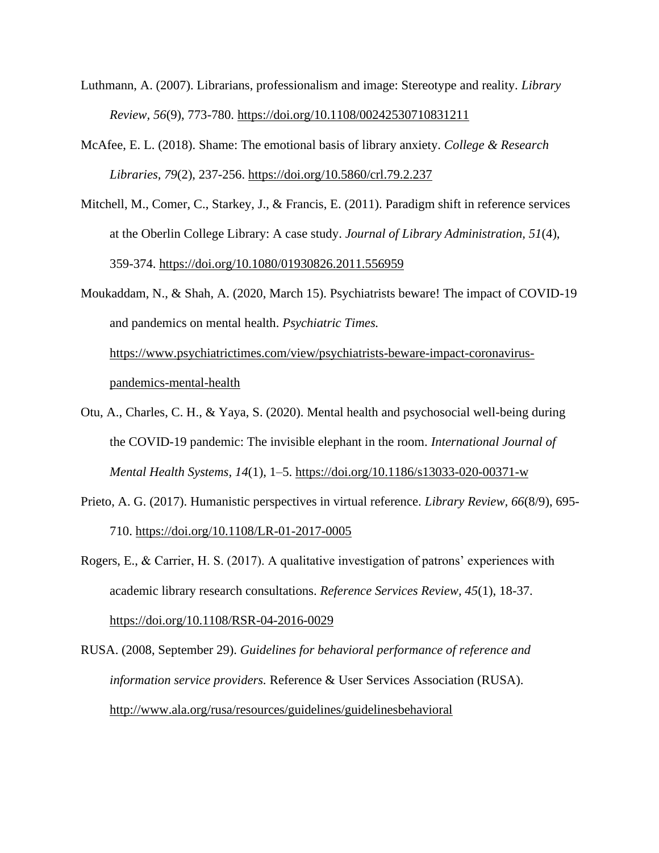- Luthmann, A. (2007). Librarians, professionalism and image: Stereotype and reality. *Library Review, 56*(9), 773-780[.](https://doi.org/10.1108/00242530710831211) <https://doi.org/10.1108/00242530710831211>
- McAfee, E. L. (2018). Shame: The emotional basis of library anxiety. *College & Research Libraries, 79*(2), 237-256.<https://doi.org/10.5860/crl.79.2.237>
- Mitchell, M., Comer, C., Starkey, J., & Francis, E. (2011). Paradigm shift in reference services at the Oberlin College Library: A case study. *Journal of Library Administration, 51*(4), 359-374. <https://doi.org/10.1080/01930826.2011.556959>
- Moukaddam, N., & Shah, A. (2020, March 15). Psychiatrists beware! The impact of COVID-19 and pandemics on mental health. *Psychiatric Times.*  [https://www.psychiatrictimes.com/view/psychiatrists-beware-impact-coronavirus](https://www.psychiatrictimes.com/view/psychiatrists-beware-impact-coronavirus-pandemics-mental-health)[pandemics-mental-health](https://www.psychiatrictimes.com/view/psychiatrists-beware-impact-coronavirus-pandemics-mental-health)
- Otu, A., Charles, C. H., & Yaya, S. (2020). Mental health and psychosocial well-being during the COVID-19 pandemic: The invisible elephant in the room. *International Journal of Mental Health Systems, 14*(1), 1–5[.](https://doi.org/10.1186/s13033-020-00371-w) <https://doi.org/10.1186/s13033-020-00371-w>
- Prieto, A. G. (2017). Humanistic perspectives in virtual reference. *Library Review, 66*(8/9), 695- 710[.](https://doi.org/10.1108/LR-01-2017-0005) <https://doi.org/10.1108/LR-01-2017-0005>
- Rogers, E., & Carrier, H. S. (2017). A qualitative investigation of patrons' experiences with academic library research consultations. *Reference Services Review, 45*(1), 18-37[.](https://doi.org/10.1108/RSR-04-2016-0029) <https://doi.org/10.1108/RSR-04-2016-0029>
- RUSA. (2008, September 29). *Guidelines for behavioral performance of reference and information service providers.* Reference & User Services Association (RUSA). <http://www.ala.org/rusa/resources/guidelines/guidelinesbehavioral>